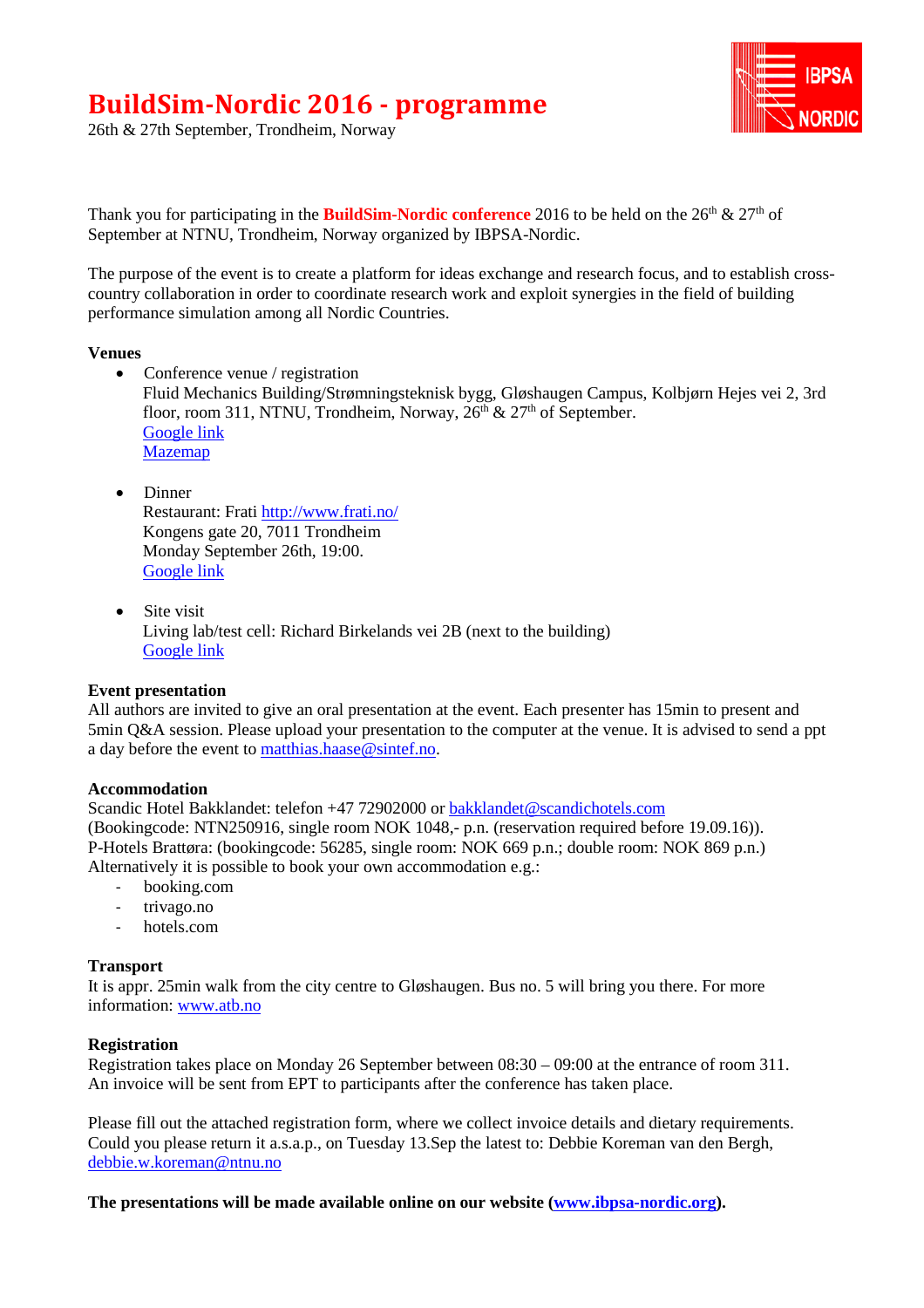26th & 27th September, Trondheim, Norway



Thank you for participating in the **BuildSim-Nordic conference** 2016 to be held on the  $26<sup>th</sup>$  &  $27<sup>th</sup>$  of September at NTNU, Trondheim, Norway organized by IBPSA-Nordic.

The purpose of the event is to create a platform for ideas exchange and research focus, and to establish crosscountry collaboration in order to coordinate research work and exploit synergies in the field of building performance simulation among all Nordic Countries.

#### **Venues**

- Conference venue / registration Fluid Mechanics Building/Strømningsteknisk bygg, Gløshaugen Campus, Kolbjørn Hejes vei 2, 3rd floor, room 311, NTNU, Trondheim, Norway,  $26<sup>th</sup>$  &  $27<sup>th</sup>$  of September. [Google](https://www.google.com/maps/place/Kolbj%C3%B8rn+Hejes+vei+2,+7034+Trondheim,+Norway/@63.4184747,10.4028718,17z/data=!3m1!4b1!4m5!3m4!1s0x466d319585c22e39:0x563a6049ebbc9459!8m2!3d63.4184723!4d10.4050605) link [Mazemap](http://bit.ly/2cf8xNe)
- Dinner Restaurant: Frati <http://www.frati.no/> Kongens gate 20, 7011 Trondheim Monday September 26th, 19:00. [Google link](https://www.google.com/maps/place/Frati+restaurant/@63.4307823,10.3915537,17z/data=!3m1!4b1!4m5!3m4!1s0x466d319b6d03a4d9:0x7f00e8dd6ee4efc!8m2!3d63.4307799!4d10.3937424)
- Site visit Living lab/test cell: Richard Birkelands vei 2B (next to the building) [Google link](https://www.google.com/maps/place/Richard+Birkelands+vei+2B,+7034+Trondheim,+Norway/@63.4164199,10.4075234,17z/data=!4m5!3m4!1s0x466d31bfa727b227:0x5055e365df95f7a0!8m2!3d63.4164079!4d10.4099267)

#### **Event presentation**

All authors are invited to give an oral presentation at the event. Each presenter has 15min to present and 5min Q&A session. Please upload your presentation to the computer at the venue. It is advised to send a ppt a day before the event to [matthias.haase@sintef.no.](mailto:matthias.haase@sintef.no)

#### **Accommodation**

Scandic Hotel Bakklandet: telefon +47 72902000 or [bakklandet@scandichotels.com](mailto:bakklandet@scandichotels.com) (Bookingcode: NTN250916, single room NOK 1048,- p.n. (reservation required before 19.09.16)). P-Hotels Brattøra: (bookingcode: 56285, single room: NOK 669 p.n.; double room: NOK 869 p.n.) Alternatively it is possible to book your own accommodation e.g.:

- booking.com
- trivago.no
- hotels.com

#### **Transport**

It is appr. 25min walk from the city centre to Gløshaugen. Bus no. 5 will bring you there. For more information: [www.atb.no](http://www.atb.no/)

#### **Registration**

Registration takes place on Monday 26 September between 08:30 – 09:00 at the entrance of room 311. An invoice will be sent from EPT to participants after the conference has taken place.

Please fill out the attached registration form, where we collect invoice details and dietary requirements. Could you please return it a.s.a.p., on Tuesday 13.Sep the latest to: Debbie Koreman van den Bergh, [debbie.w.koreman@ntnu.no](mailto:debbie.w.koreman@ntnu.no)

**The presentations will be made available online on our website [\(www.ibpsa-nordic.org\)](http://www.ibpsa-nordic.org/).**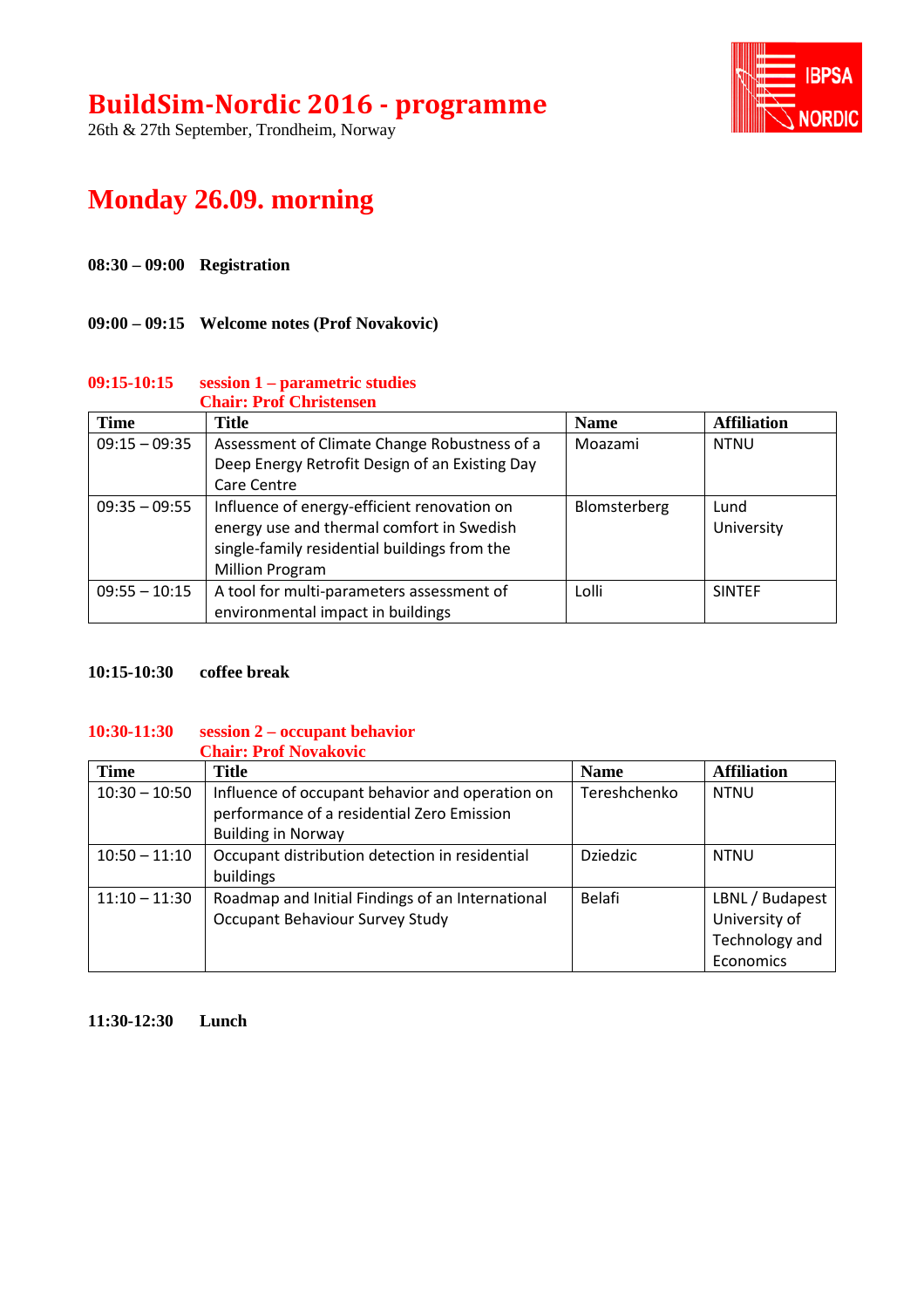26th & 27th September, Trondheim, Norway



## **Monday 26.09. morning**

**08:30 – 09:00 Registration**

#### **09:00 – 09:15 Welcome notes (Prof Novakovic)**

### **09:15-10:15 session 1 – parametric studies**

| <b>Time</b>     | Title                                          | <b>Name</b>  | <b>Affiliation</b> |
|-----------------|------------------------------------------------|--------------|--------------------|
| $09:15 - 09:35$ | Assessment of Climate Change Robustness of a   | Moazami      | <b>NTNU</b>        |
|                 | Deep Energy Retrofit Design of an Existing Day |              |                    |
|                 | Care Centre                                    |              |                    |
| $09:35 - 09:55$ | Influence of energy-efficient renovation on    | Blomsterberg | Lund               |
|                 | energy use and thermal comfort in Swedish      |              | University         |
|                 | single-family residential buildings from the   |              |                    |
|                 | <b>Million Program</b>                         |              |                    |
| $09:55 - 10:15$ | A tool for multi-parameters assessment of      | Lolli        | <b>SINTEF</b>      |
|                 | environmental impact in buildings              |              |                    |

#### **10:15-10:30 coffee break**

#### **10:30-11:30 session 2 – occupant behavior Chair: Prof Novakovic**

| <b>Time</b>     | Title                                            | <b>Name</b>     | <b>Affiliation</b> |
|-----------------|--------------------------------------------------|-----------------|--------------------|
| $10:30 - 10:50$ | Influence of occupant behavior and operation on  | Tereshchenko    | <b>NTNU</b>        |
|                 | performance of a residential Zero Emission       |                 |                    |
|                 | <b>Building in Norway</b>                        |                 |                    |
| $10:50 - 11:10$ | Occupant distribution detection in residential   | <b>Dziedzic</b> | <b>NTNU</b>        |
|                 | buildings                                        |                 |                    |
| $11:10 - 11:30$ | Roadmap and Initial Findings of an International | Belafi          | LBNL / Budapest    |
|                 | Occupant Behaviour Survey Study                  |                 | University of      |
|                 |                                                  |                 | Technology and     |
|                 |                                                  |                 | Economics          |

**11:30-12:30 Lunch**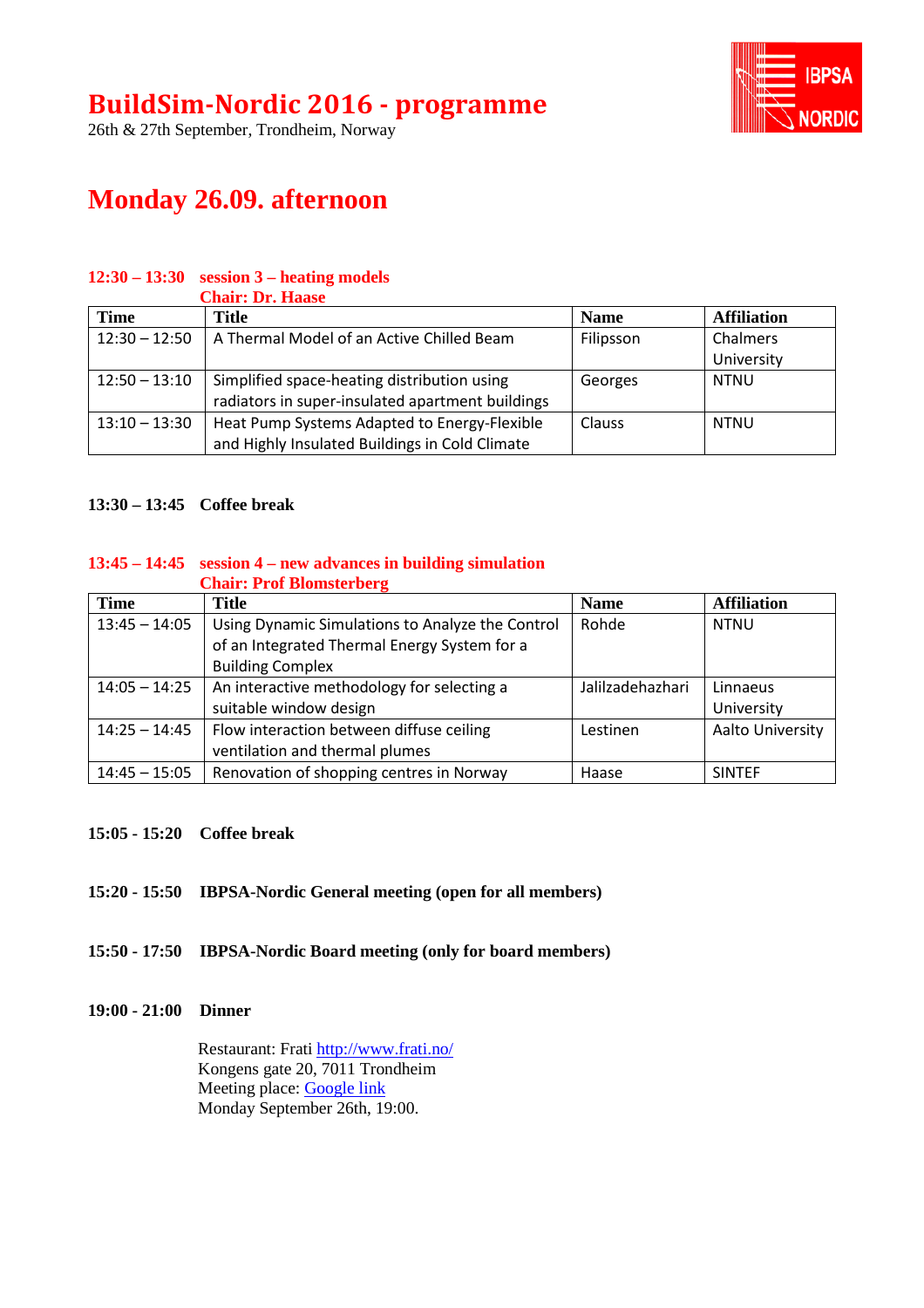

26th & 27th September, Trondheim, Norway

## **Monday 26.09. afternoon**

#### **Chair: Dr. Haase** Time | Title | Name | Affiliation 12:30 – 12:50 A Thermal Model of an Active Chilled Beam Filipsson | Chalmers University 12:50 – 13:10 Simplified space-heating distribution using radiators in super-insulated apartment buildings Georges | NTNU 13:10 – 13:30 | Heat Pump Systems Adapted to Energy-Flexible and Highly Insulated Buildings in Cold Climate Clauss NTNU

#### **12:30 – 13:30 session 3 – heating models**

#### **13:30 – 13:45 Coffee break**

#### **13:45 – 14:45 session 4 – new advances in building simulation Chair: Prof Blomsterberg**

| <b>Time</b>     | Title                                            | <b>Name</b>      | <b>Affiliation</b> |
|-----------------|--------------------------------------------------|------------------|--------------------|
| $13:45 - 14:05$ | Using Dynamic Simulations to Analyze the Control | Rohde            | <b>NTNU</b>        |
|                 | of an Integrated Thermal Energy System for a     |                  |                    |
|                 | <b>Building Complex</b>                          |                  |                    |
| $14:05 - 14:25$ | An interactive methodology for selecting a       | Jalilzadehazhari | Linnaeus           |
|                 | suitable window design                           |                  | University         |
| $14:25 - 14:45$ | Flow interaction between diffuse ceiling         | Lestinen         | Aalto University   |
|                 | ventilation and thermal plumes                   |                  |                    |
| $14:45 - 15:05$ | Renovation of shopping centres in Norway         | Haase            | <b>SINTEF</b>      |

#### **15:05 - 15:20 Coffee break**

#### **15:20 - 15:50 IBPSA-Nordic General meeting (open for all members)**

#### **15:50 - 17:50 IBPSA-Nordic Board meeting (only for board members)**

#### **19:00 - 21:00 Dinner**

Restaurant: Frati <http://www.frati.no/> Kongens gate 20, 7011 Trondheim Meeting place: [Google link](https://www.google.com/maps/place/Frati+restaurant/@63.4307823,10.3915537,17z/data=!3m1!4b1!4m5!3m4!1s0x466d319b6d03a4d9:0x7f00e8dd6ee4efc!8m2!3d63.4307799!4d10.3937424) Monday September 26th, 19:00.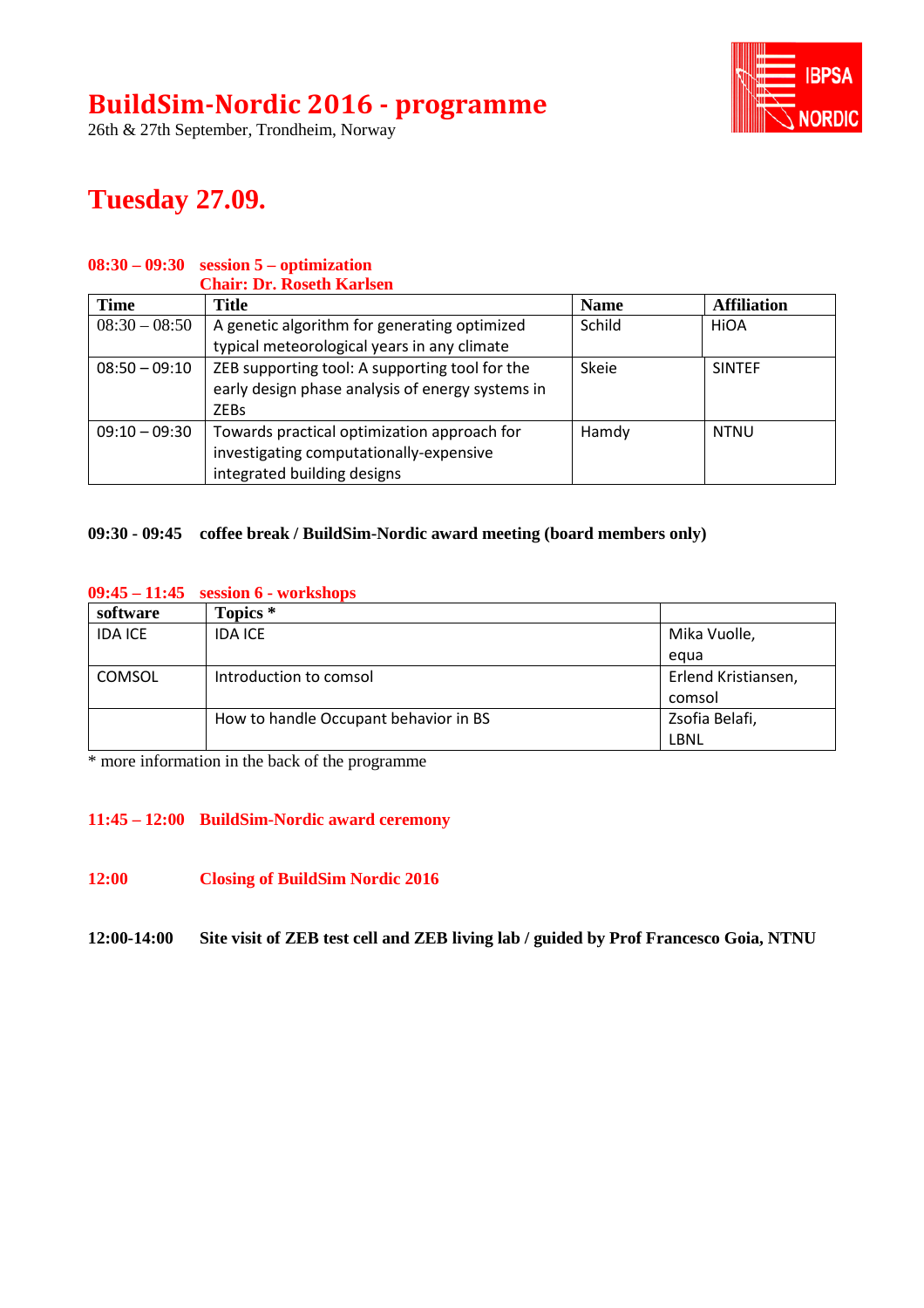26th & 27th September, Trondheim, Norway



# **Tuesday 27.09.**

#### **08:30 – 09:30 session 5 – optimization Chair: Dr. Roseth Karlsen**

| Chan . Di . Roseth Raffsen |                                                                                                                       |             |                    |
|----------------------------|-----------------------------------------------------------------------------------------------------------------------|-------------|--------------------|
| <b>Time</b>                | Title                                                                                                                 | <b>Name</b> | <b>Affiliation</b> |
| $08:30 - 08:50$            | A genetic algorithm for generating optimized<br>typical meteorological years in any climate                           | Schild      | HIOA               |
| $08:50 - 09:10$            | ZEB supporting tool: A supporting tool for the<br>early design phase analysis of energy systems in<br><b>ZEBs</b>     | Skeie       | <b>SINTEF</b>      |
| $09:10 - 09:30$            | Towards practical optimization approach for<br>investigating computationally-expensive<br>integrated building designs | Hamdy       | <b>NTNU</b>        |

#### **09:30 - 09:45 coffee break / BuildSim-Nordic award meeting (board members only)**

| $\sigma$       |                                       |                     |
|----------------|---------------------------------------|---------------------|
| software       | Topics <sup>*</sup>                   |                     |
| <b>IDA ICE</b> | <b>IDA ICE</b>                        | Mika Vuolle,        |
|                |                                       | egua                |
| <b>COMSOL</b>  | Introduction to comsol                | Erlend Kristiansen, |
|                |                                       | comsol              |
|                | How to handle Occupant behavior in BS | Zsofia Belafi,      |
|                |                                       | LBNL                |
|                |                                       |                     |

#### **09:45 – 11:45 session 6 - workshops**

\* more information in the back of the programme

#### **11:45 – 12:00 BuildSim-Nordic award ceremony**

- **12:00 Closing of BuildSim Nordic 2016**
- **12:00-14:00 Site visit of ZEB test cell and ZEB living lab / guided by Prof Francesco Goia, NTNU**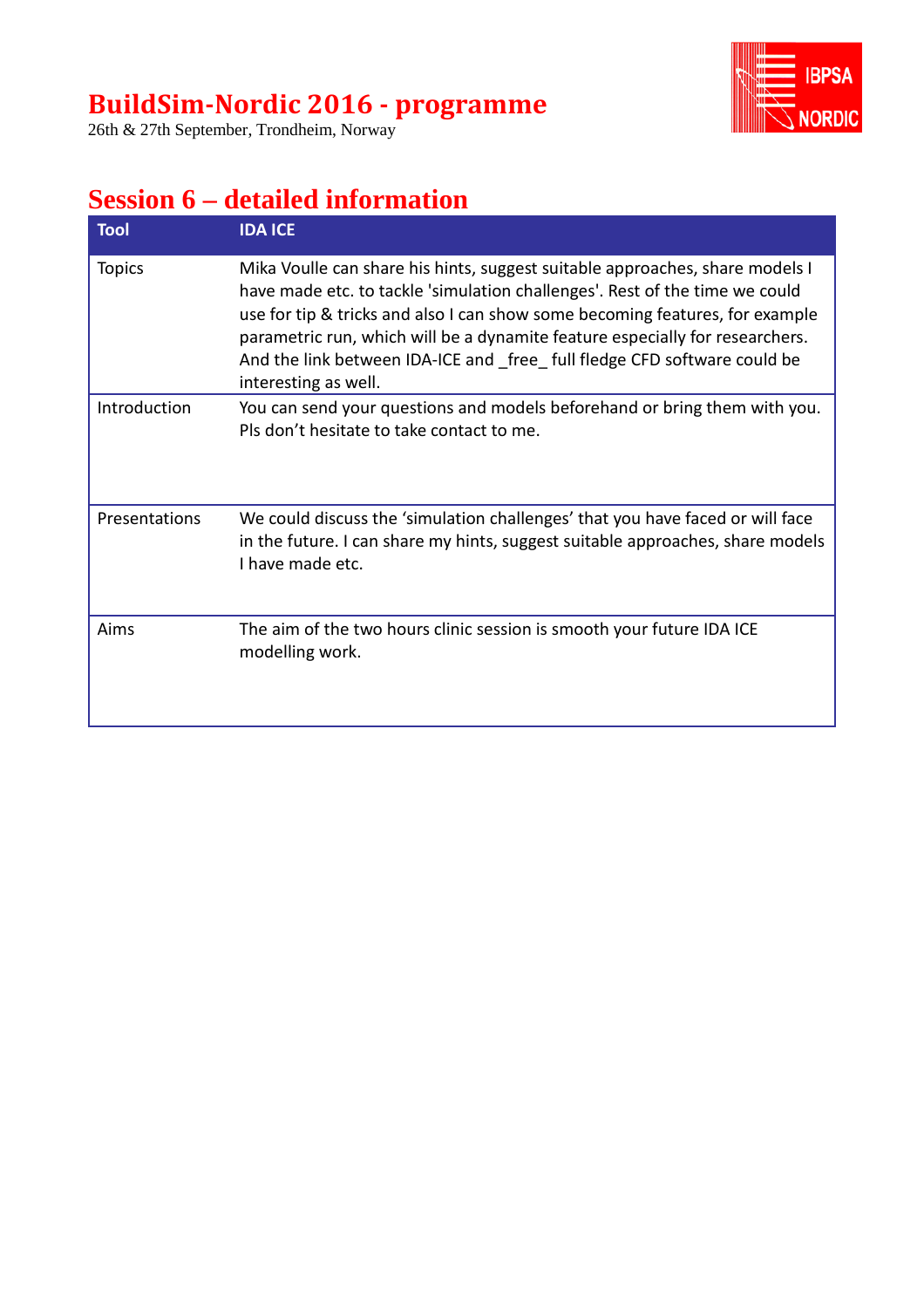

26th & 27th September, Trondheim, Norway

# **Session 6 – detailed information**

| <b>Tool</b>   | <b>IDA ICE</b>                                                                                                                                                                                                                                                                                                                                                                                                                 |
|---------------|--------------------------------------------------------------------------------------------------------------------------------------------------------------------------------------------------------------------------------------------------------------------------------------------------------------------------------------------------------------------------------------------------------------------------------|
| <b>Topics</b> | Mika Voulle can share his hints, suggest suitable approaches, share models I<br>have made etc. to tackle 'simulation challenges'. Rest of the time we could<br>use for tip & tricks and also I can show some becoming features, for example<br>parametric run, which will be a dynamite feature especially for researchers.<br>And the link between IDA-ICE and free full fledge CFD software could be<br>interesting as well. |
| Introduction  | You can send your questions and models beforehand or bring them with you.<br>Pls don't hesitate to take contact to me.                                                                                                                                                                                                                                                                                                         |
| Presentations | We could discuss the 'simulation challenges' that you have faced or will face<br>in the future. I can share my hints, suggest suitable approaches, share models<br>I have made etc.                                                                                                                                                                                                                                            |
| Aims          | The aim of the two hours clinic session is smooth your future IDA ICE<br>modelling work.                                                                                                                                                                                                                                                                                                                                       |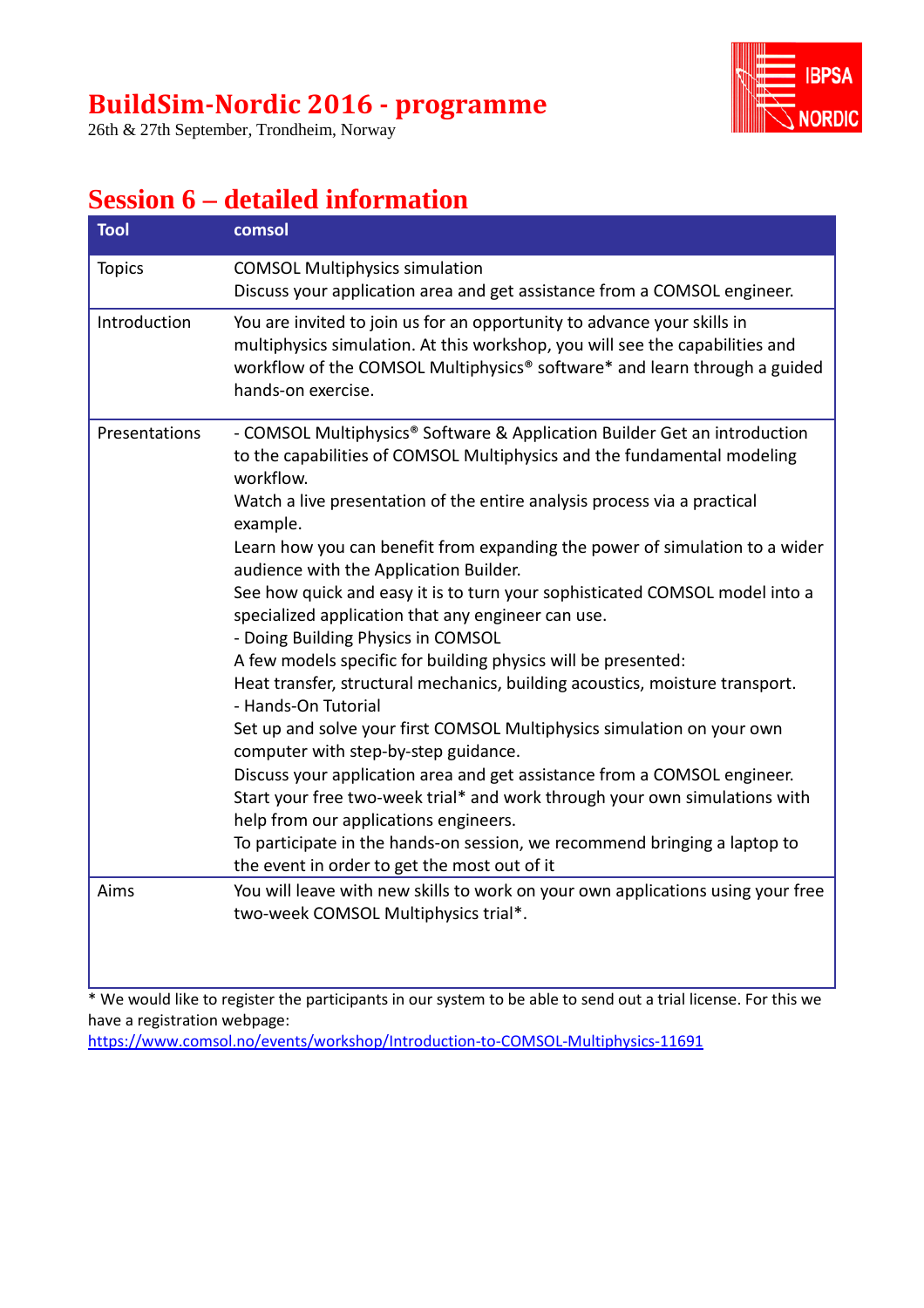26th & 27th September, Trondheim, Norway



# **Session 6 – detailed information**

| <b>Tool</b>   | comsol                                                                                                                                                                                                                                                                                                            |
|---------------|-------------------------------------------------------------------------------------------------------------------------------------------------------------------------------------------------------------------------------------------------------------------------------------------------------------------|
| <b>Topics</b> | <b>COMSOL Multiphysics simulation</b><br>Discuss your application area and get assistance from a COMSOL engineer.                                                                                                                                                                                                 |
| Introduction  | You are invited to join us for an opportunity to advance your skills in<br>multiphysics simulation. At this workshop, you will see the capabilities and<br>workflow of the COMSOL Multiphysics <sup>®</sup> software* and learn through a guided<br>hands-on exercise.                                            |
| Presentations | - COMSOL Multiphysics® Software & Application Builder Get an introduction<br>to the capabilities of COMSOL Multiphysics and the fundamental modeling<br>workflow.<br>Watch a live presentation of the entire analysis process via a practical                                                                     |
|               | example.<br>Learn how you can benefit from expanding the power of simulation to a wider<br>audience with the Application Builder.<br>See how quick and easy it is to turn your sophisticated COMSOL model into a<br>specialized application that any engineer can use.                                            |
|               | - Doing Building Physics in COMSOL<br>A few models specific for building physics will be presented:<br>Heat transfer, structural mechanics, building acoustics, moisture transport.<br>- Hands-On Tutorial                                                                                                        |
|               | Set up and solve your first COMSOL Multiphysics simulation on your own<br>computer with step-by-step guidance.<br>Discuss your application area and get assistance from a COMSOL engineer.<br>Start your free two-week trial* and work through your own simulations with<br>help from our applications engineers. |
|               | To participate in the hands-on session, we recommend bringing a laptop to<br>the event in order to get the most out of it                                                                                                                                                                                         |
| Aims          | You will leave with new skills to work on your own applications using your free<br>two-week COMSOL Multiphysics trial*.                                                                                                                                                                                           |

\* We would like to register the participants in our system to be able to send out a trial license. For this we have a registration webpage:

<https://www.comsol.no/events/workshop/Introduction-to-COMSOL-Multiphysics-11691>